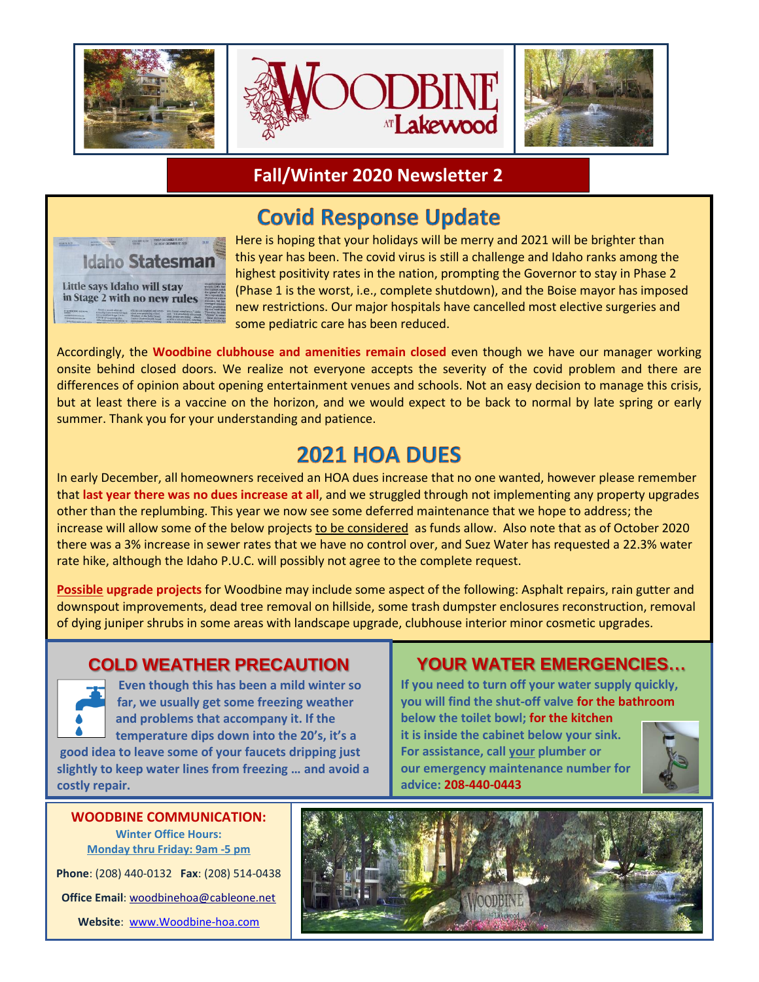

### **Fall/Winter 2020 Newsletter 2**

# **Covid Response Update**



 Here is hoping that your holidays will be merry and 2021 will be brighter than this year has been. The covid virus is still a challenge and Idaho ranks among the highest positivity rates in the nation, prompting the Governor to stay in Phase 2 (Phase 1 is the worst, i.e., complete shutdown), and the Boise mayor has imposed new restrictions. Our major hospitals have cancelled most elective surgeries and some pediatric care has been reduced.

Accordingly, the **Woodbine clubhouse and amenities remain closed** even though we have our manager working onsite behind closed doors. We realize not everyone accepts the severity of the covid problem and there are differences of opinion about opening entertainment venues and schools. Not an easy decision to manage this crisis, but at least there is a vaccine on the horizon, and we would expect to be back to normal by late spring or early summer. Thank you for your understanding and patience.

## 2021 HOA DUES

In early December, all homeowners received an HOA dues increase that no one wanted, however please remember that **last year there was no dues increase at all**, and we struggled through not implementing any property upgrades other than the replumbing. This year we now see some deferred maintenance that we hope to address; the increase will allow some of the below projects to be considered as funds allow. Also note that as of October 2020 there was a 3% increase in sewer rates that we have no control over, and Suez Water has requested a 22.3% water rate hike, although the Idaho P.U.C. will possibly not agree to the complete request.

**Possible upgrade projects** for Woodbine may include some aspect of the following: Asphalt repairs, rain gutter and downspout improvements, dead tree removal on hillside, some trash dumpster enclosures reconstruction, removal of dying juniper shrubs in some areas with landscape upgrade, clubhouse interior minor cosmetic upgrades.

### **COLD WEATHER PRECAUTION**



 **Even though this has been a mild winter so far, we usually get some freezing weather and problems that accompany it. If the temperature dips down into the 20's, it's a good idea to leave some of your faucets dripping just** 

**slightly to keep water lines from freezing … and avoid a costly repair.**

**Winter Office Hours: Monday thru Friday: 9am -5 pm Phone**: (208) 440-0132 **Fax**: (208) 514-0438 **Office Email**[: woodbinehoa@cableone.net](mailto:woodbinehoa@cableone.net)

**Website**: [www.Woodbine-hoa.com](http://www.woodbine-hoa.com/)

## **YOUR WATER EMERGENCIES…**

**If you need to turn off your water supply quickly, you will find the shut-off valve for the bathroom below the toilet bowl; for the kitchen**

**it is inside the cabinet below your sink. For assistance, call your plumber or our emergency maintenance number for advice: 208-440-0443**



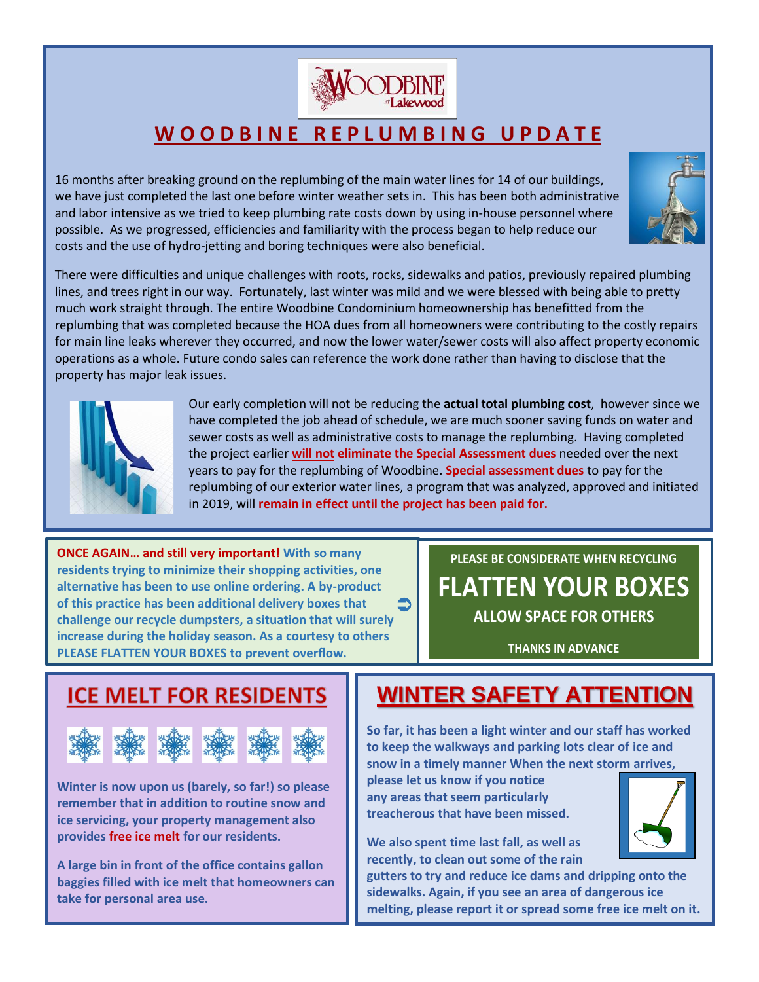

# **W O O D B I N E R E P L U M B I N G U P D A T E**

16 months after breaking ground on the replumbing of the main water lines for 14 of our buildings, we have just completed the last one before winter weather sets in. This has been both administrative and labor intensive as we tried to keep plumbing rate costs down by using in-house personnel where possible. As we progressed, efficiencies and familiarity with the process began to help reduce our costs and the use of hydro-jetting and boring techniques were also beneficial.



There were difficulties and unique challenges with roots, rocks, sidewalks and patios, previously repaired plumbing lines, and trees right in our way. Fortunately, last winter was mild and we were blessed with being able to pretty much work straight through. The entire Woodbine Condominium homeownership has benefitted from the replumbing that was completed because the HOA dues from all homeowners were contributing to the costly repairs for main line leaks wherever they occurred, and now the lower water/sewer costs will also affect property economic operations as a whole. Future condo sales can reference the work done rather than having to disclose that the property has major leak issues.



Our early completion will not be reducing the **actual total plumbing cost**, however since we have completed the job ahead of schedule, we are much sooner saving funds on water and sewer costs as well as administrative costs to manage the replumbing. Having completed the project earlier **will not eliminate the Special Assessment dues** needed over the next years to pay for the replumbing of Woodbine. **Special assessment dues** to pay for the replumbing of our exterior water lines, a program that was analyzed, approved and initiated in 2019, will **remain in effect until the project has been paid for.**

**ONCE AGAIN… and still very important! With so many residents trying to minimize their shopping activities, one alternative has been to use online ordering. A by-product of this practice has been additional delivery boxes that challenge our recycle dumpsters, a situation that will surely increase during the holiday season. As a courtesy to others PLEASE FLATTEN YOUR BOXES to prevent overflow.**  $\bullet$ 

**PLEASE BE CONSIDERATE WHEN RECYCLING FLATTEN YOUR BOXES ALLOW SPACE FOR OTHERS**

**THANKS IN ADVANCE**



**Winter is now upon us (barely, so far!) so please remember that in addition to routine snow and ice servicing, your property management also provides free ice melt for our residents.** 

**A large bin in front of the office contains gallon baggies filled with ice melt that homeowners can take for personal area use.**

# **WINTER SAFETY ATTENTION**

**So far, it has been a light winter and our staff has worked to keep the walkways and parking lots clear of ice and snow in a timely manner When the next storm arrives,** 

**please let us know if you notice any areas that seem particularly treacherous that have been missed.** 

**We also spent time last fall, as well as recently, to clean out some of the rain** 

**gutters to try and reduce ice dams and dripping onto the sidewalks. Again, if you see an area of dangerous ice melting, please report it or spread some free ice melt on it.**